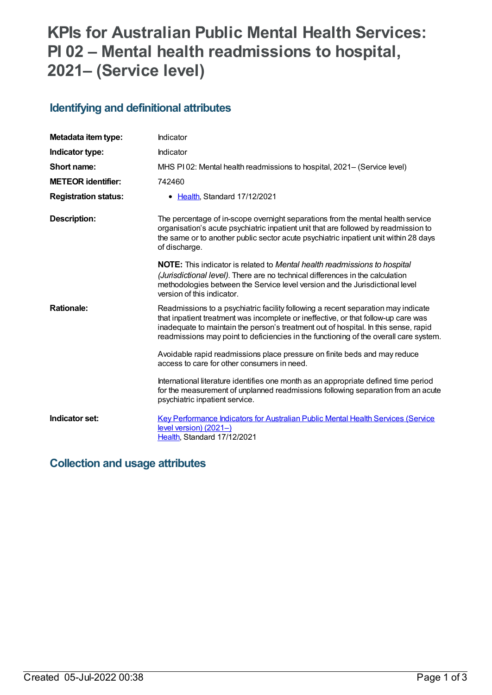## **KPIs for Australian Public Mental Health Services: PI 02 – Mental health readmissions to hospital, 2021– (Service level)**

#### **Identifying and definitional attributes**

| Metadata item type:         | Indicator                                                                                                                                                                                                                                                                                                                                               |
|-----------------------------|---------------------------------------------------------------------------------------------------------------------------------------------------------------------------------------------------------------------------------------------------------------------------------------------------------------------------------------------------------|
| Indicator type:             | Indicator                                                                                                                                                                                                                                                                                                                                               |
| Short name:                 | MHS PI02: Mental health readmissions to hospital, 2021– (Service level)                                                                                                                                                                                                                                                                                 |
| <b>METEOR identifier:</b>   | 742460                                                                                                                                                                                                                                                                                                                                                  |
| <b>Registration status:</b> | • Health, Standard 17/12/2021                                                                                                                                                                                                                                                                                                                           |
| <b>Description:</b>         | The percentage of in-scope overnight separations from the mental health service<br>organisation's acute psychiatric inpatient unit that are followed by readmission to<br>the same or to another public sector acute psychiatric inpatient unit within 28 days<br>of discharge.                                                                         |
|                             | <b>NOTE:</b> This indicator is related to Mental health readmissions to hospital<br>(Jurisdictional level). There are no technical differences in the calculation<br>methodologies between the Service level version and the Jurisdictional level<br>version of this indicator.                                                                         |
| <b>Rationale:</b>           | Readmissions to a psychiatric facility following a recent separation may indicate<br>that inpatient treatment was incomplete or ineffective, or that follow-up care was<br>inadequate to maintain the person's treatment out of hospital. In this sense, rapid<br>readmissions may point to deficiencies in the functioning of the overall care system. |
|                             | Avoidable rapid readmissions place pressure on finite beds and may reduce<br>access to care for other consumers in need.                                                                                                                                                                                                                                |
|                             | International literature identifies one month as an appropriate defined time period<br>for the measurement of unplanned readmissions following separation from an acute<br>psychiatric inpatient service.                                                                                                                                               |
| Indicator set:              | <b>Key Performance Indicators for Australian Public Mental Health Services (Service</b><br>level version) (2021-)<br>Health, Standard 17/12/2021                                                                                                                                                                                                        |

#### **Collection and usage attributes**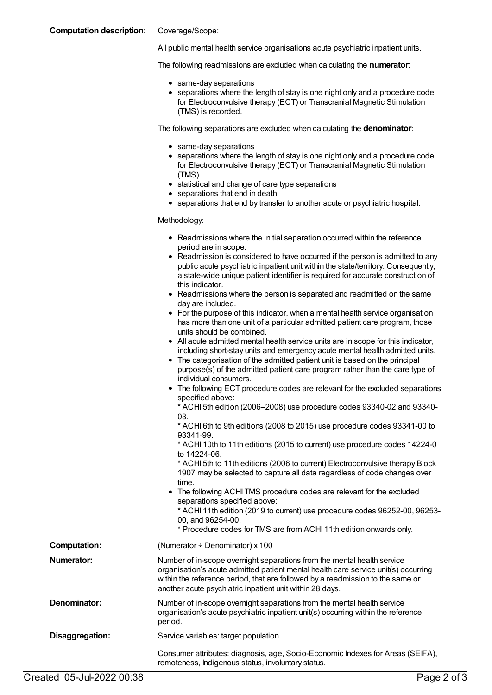#### **Computation description:** Coverage/Scope:

All public mental health service organisations acute psychiatric inpatient units.

The following readmissions are excluded when calculating the **numerator**:

- same-day separations
- separations where the length of stay is one night only and a procedure code for Electroconvulsive therapy (ECT) or Transcranial Magnetic Stimulation (TMS) is recorded.

The following separations are excluded when calculating the **denominator**:

- same-day separations
- separations where the length of stay is one night only and a procedure code for Electroconvulsive therapy (ECT) or Transcranial Magnetic Stimulation (TMS).
- statistical and change of care type separations
- separations that end in death
- separations that end by transfer to another acute or psychiatric hospital.

Methodology:

- Readmissions where the initial separation occurred within the reference period are in scope.
- Readmission is considered to have occurred if the person is admitted to any public acute psychiatric inpatient unit within the state/territory. Consequently, a state-wide unique patient identifier is required for accurate construction of this indicator.
- Readmissions where the person is separated and readmitted on the same day are included.
- For the purpose of this indicator, when a mental health service organisation has more than one unit of a particular admitted patient care program, those units should be combined.
- All acute admitted mental health service units are in scope for this indicator, including short-stay units and emergency acute mental health admitted units.
- The categorisation of the admitted patient unit is based on the principal purpose(s) of the admitted patient care program rather than the care type of individual consumers.
- The following ECT procedure codes are relevant for the excluded separations specified above:

\* ACHI 5th edition (2006–2008) use procedure codes 93340-02 and 93340- 03.

\* ACHI 6th to 9th editions (2008 to 2015) use procedure codes 93341-00 to 93341-99.

\* ACHI 10th to 11th editions (2015 to current) use procedure codes 14224-0 to 14224-06.

\* ACHI 5th to 11th editions (2006 to current) Electroconvulsive therapy Block 1907 may be selected to capture all data regardless of code changes over time.

The following ACHI TMS procedure codes are relevant for the excluded separations specified above: \* ACHI 11th edition (2019 to current) use procedure codes 96252-00, 96253-

00, and 96254-00.

\* Procedure codes for TMS are from ACHI 11th edition onwards only.

**Computation:** (Numerator ÷ Denominator) x 100 **Numerator:** Number of in-scope overnight separations from the mental health service organisation's acute admitted patient mental health care service unit(s) occurring within the reference period, that are followed by a readmission to the same or another acute psychiatric inpatient unit within 28 days. **Denominator:** Number of in-scope overnight separations from the mental health service organisation's acute psychiatric inpatient unit(s) occurring within the reference period. **Disaggregation:** Service variables: target population.

Consumer attributes: diagnosis, age, Socio-Economic Indexes for Areas (SEIFA), remoteness, Indigenous status, involuntary status.